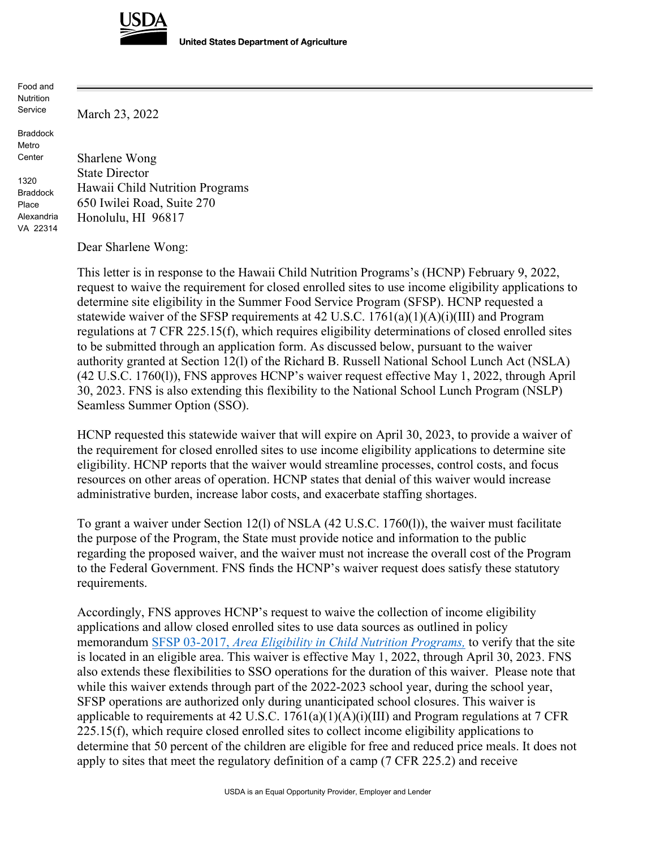

March 23, 2022

**United States Department of Agriculture** 

Food and **Nutrition** Service

Braddock Metro Center

1320 Braddock Place Alexandria VA 22314 Sharlene Wong State Director Hawaii Child Nutrition Programs 650 Iwilei Road, Suite 270 Honolulu, HI 96817

Dear Sharlene Wong:

This letter is in response to the Hawaii Child Nutrition Programs's (HCNP) February 9, 2022, request to waive the requirement for closed enrolled sites to use income eligibility applications to determine site eligibility in the Summer Food Service Program (SFSP). HCNP requested a statewide waiver of the SFSP requirements at  $42$  U.S.C.  $1761(a)(1)(A)(i)(III)$  and Program regulations at 7 CFR 225.15(f), which requires eligibility determinations of closed enrolled sites to be submitted through an application form. As discussed below, pursuant to the waiver authority granted at Section 12(l) of the Richard B. Russell National School Lunch Act (NSLA) (42 U.S.C. 1760(l)), FNS approves HCNP's waiver request effective May 1, 2022, through April 30, 2023. FNS is also extending this flexibility to the National School Lunch Program (NSLP) Seamless Summer Option (SSO).

HCNP requested this statewide waiver that will expire on April 30, 2023, to provide a waiver of the requirement for closed enrolled sites to use income eligibility applications to determine site eligibility. HCNP reports that the waiver would streamline processes, control costs, and focus resources on other areas of operation. HCNP states that denial of this waiver would increase administrative burden, increase labor costs, and exacerbate staffing shortages.

To grant a waiver under Section 12(l) of NSLA (42 U.S.C. 1760(l)), the waiver must facilitate the purpose of the Program, the State must provide notice and information to the public regarding the proposed waiver, and the waiver must not increase the overall cost of the Program to the Federal Government. FNS finds the HCNP's waiver request does satisfy these statutory requirements.

Accordingly, FNS approves HCNP's request to waive the collection of income eligibility applications and allow closed enrolled sites to use data sources as outlined in policy memorandum SFSP 03-2017, *Area Eligibility [in Child Nutrition Programs,](https://www.fns.usda.gov/cn/area-eligibility-child-nutrition-programs)* to verify that the site is located in an eligible area. This waiver is effective May 1, 2022, through April 30, 2023. FNS also extends these flexibilities to SSO operations for the duration of this waiver. Please note that while this waiver extends through part of the 2022-2023 school year, during the school year, SFSP operations are authorized only during unanticipated school closures. This waiver is applicable to requirements at 42 U.S.C.  $1761(a)(1)(A)(i)(III)$  and Program regulations at 7 CFR 225.15(f), which require closed enrolled sites to collect income eligibility applications to determine that 50 percent of the children are eligible for free and reduced price meals. It does not apply to sites that meet the regulatory definition of a camp (7 CFR 225.2) and receive